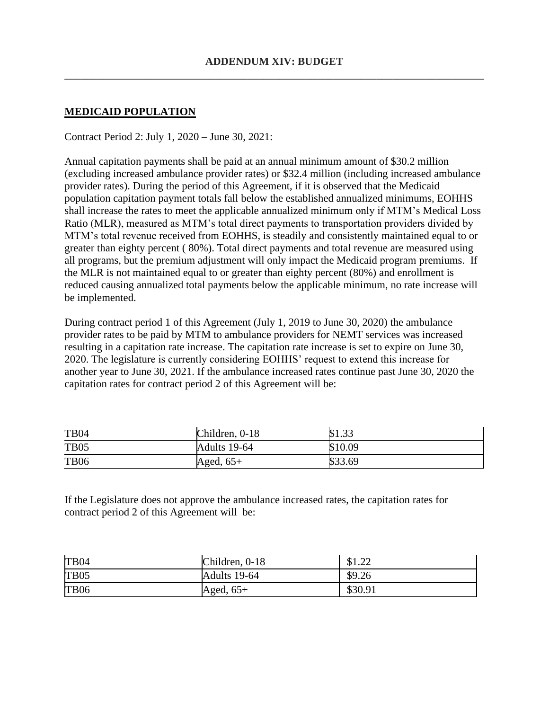## **MEDICAID POPULATION**

Contract Period 2: July 1, 2020 – June 30, 2021:

Annual capitation payments shall be paid at an annual minimum amount of \$30.2 million (excluding increased ambulance provider rates) or \$32.4 million (including increased ambulance provider rates). During the period of this Agreement, if it is observed that the Medicaid population capitation payment totals fall below the established annualized minimums, EOHHS shall increase the rates to meet the applicable annualized minimum only if MTM's Medical Loss Ratio (MLR), measured as MTM's total direct payments to transportation providers divided by MTM's total revenue received from EOHHS, is steadily and consistently maintained equal to or greater than eighty percent ( 80%). Total direct payments and total revenue are measured using all programs, but the premium adjustment will only impact the Medicaid program premiums. If the MLR is not maintained equal to or greater than eighty percent (80%) and enrollment is reduced causing annualized total payments below the applicable minimum, no rate increase will be implemented.

During contract period 1 of this Agreement (July 1, 2019 to June 30, 2020) the ambulance provider rates to be paid by MTM to ambulance providers for NEMT services was increased resulting in a capitation rate increase. The capitation rate increase is set to expire on June 30, 2020. The legislature is currently considering EOHHS' request to extend this increase for another year to June 30, 2021. If the ambulance increased rates continue past June 30, 2020 the capitation rates for contract period 2 of this Agreement will be:

| <b>TB04</b>      | Children, 0-18 | \$1.33  |
|------------------|----------------|---------|
| TB <sub>05</sub> | Adults 19-64   | \$10.09 |
| <b>TB06</b>      | Aged, $65+$    | \$33.69 |

If the Legislature does not approve the ambulance increased rates, the capitation rates for contract period 2 of this Agreement will be:

| TB <sub>04</sub> | Children, 0-18 | $\cap$<br>01.44 |
|------------------|----------------|-----------------|
| TB <sub>05</sub> | Adults 19-64   | \$9.26          |
| TB <sub>06</sub> | Aged, $65+$    | \$30.91         |